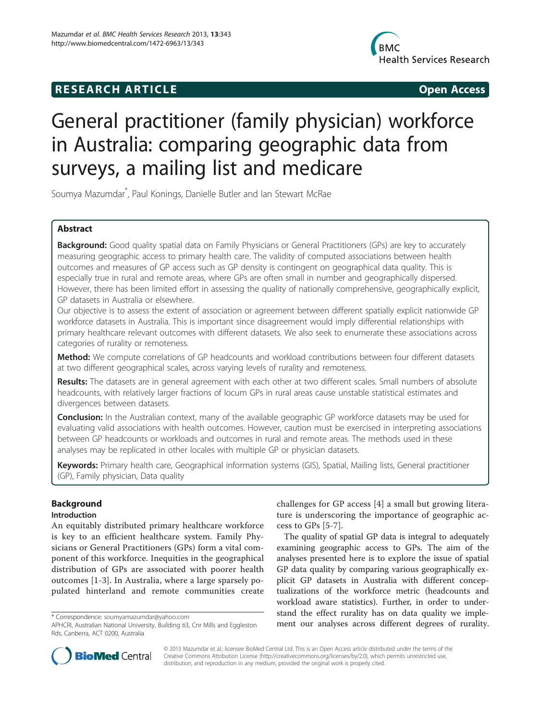## **RESEARCH ARTICLE CONSUMING A RESEARCH ARTICLE**



# General practitioner (family physician) workforce in Australia: comparing geographic data from surveys, a mailing list and medicare

Soumya Mazumdar\* , Paul Konings, Danielle Butler and Ian Stewart McRae

## Abstract

Background: Good quality spatial data on Family Physicians or General Practitioners (GPs) are key to accurately measuring geographic access to primary health care. The validity of computed associations between health outcomes and measures of GP access such as GP density is contingent on geographical data quality. This is especially true in rural and remote areas, where GPs are often small in number and geographically dispersed. However, there has been limited effort in assessing the quality of nationally comprehensive, geographically explicit, GP datasets in Australia or elsewhere.

Our objective is to assess the extent of association or agreement between different spatially explicit nationwide GP workforce datasets in Australia. This is important since disagreement would imply differential relationships with primary healthcare relevant outcomes with different datasets. We also seek to enumerate these associations across categories of rurality or remoteness.

Method: We compute correlations of GP headcounts and workload contributions between four different datasets at two different geographical scales, across varying levels of rurality and remoteness.

Results: The datasets are in general agreement with each other at two different scales. Small numbers of absolute headcounts, with relatively larger fractions of locum GPs in rural areas cause unstable statistical estimates and divergences between datasets.

**Conclusion:** In the Australian context, many of the available geographic GP workforce datasets may be used for evaluating valid associations with health outcomes. However, caution must be exercised in interpreting associations between GP headcounts or workloads and outcomes in rural and remote areas. The methods used in these analyses may be replicated in other locales with multiple GP or physician datasets.

Keywords: Primary health care, Geographical information systems (GIS), Spatial, Mailing lists, General practitioner (GP), Family physician, Data quality

## Background

#### Introduction

An equitably distributed primary healthcare workforce is key to an efficient healthcare system. Family Physicians or General Practitioners (GPs) form a vital component of this workforce. Inequities in the geographical distribution of GPs are associated with poorer health outcomes [[1-3](#page-13-0)]. In Australia, where a large sparsely populated hinterland and remote communities create

challenges for GP access [[4\]](#page-13-0) a small but growing literature is underscoring the importance of geographic access to GPs [\[5-7](#page-13-0)].

The quality of spatial GP data is integral to adequately examining geographic access to GPs. The aim of the analyses presented here is to explore the issue of spatial GP data quality by comparing various geographically explicit GP datasets in Australia with different conceptualizations of the workforce metric (headcounts and workload aware statistics). Further, in order to understand the effect rurality has on data quality we imple\* Correspondence: [soumyamazumdar@yahoo.com](mailto:soumyamazumdar@yahoo.com) **but analyses across different degrees of rurality.**<br>APHCRI, Australian National University, Building 63, Cnr Mills and Eggleston **ment our analyses across different degrees of ru** 



© 2013 Mazumdar et al.; licensee BioMed Central Ltd. This is an Open Access article distributed under the terms of the Creative Commons Attribution License (<http://creativecommons.org/licenses/by/2.0>), which permits unrestricted use, distribution, and reproduction in any medium, provided the original work is properly cited.

APHCRI, Australian National University, Building 63, Cnr Mills and Eggleston Rds, Canberra, ACT 0200, Australia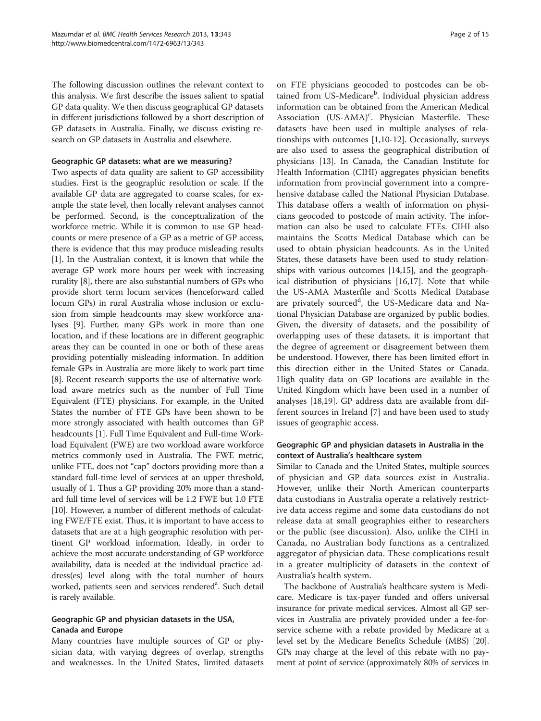The following discussion outlines the relevant context to this analysis. We first describe the issues salient to spatial GP data quality. We then discuss geographical GP datasets in different jurisdictions followed by a short description of GP datasets in Australia. Finally, we discuss existing research on GP datasets in Australia and elsewhere.

#### Geographic GP datasets: what are we measuring?

Two aspects of data quality are salient to GP accessibility studies. First is the geographic resolution or scale. If the available GP data are aggregated to coarse scales, for example the state level, then locally relevant analyses cannot be performed. Second, is the conceptualization of the workforce metric. While it is common to use GP headcounts or mere presence of a GP as a metric of GP access, there is evidence that this may produce misleading results [[1\]](#page-13-0). In the Australian context, it is known that while the average GP work more hours per week with increasing rurality [[8](#page-13-0)], there are also substantial numbers of GPs who provide short term locum services (henceforward called locum GPs) in rural Australia whose inclusion or exclusion from simple headcounts may skew workforce analyses [\[9\]](#page-13-0). Further, many GPs work in more than one location, and if these locations are in different geographic areas they can be counted in one or both of these areas providing potentially misleading information. In addition female GPs in Australia are more likely to work part time [[8\]](#page-13-0). Recent research supports the use of alternative workload aware metrics such as the number of Full Time Equivalent (FTE) physicians. For example, in the United States the number of FTE GPs have been shown to be more strongly associated with health outcomes than GP headcounts [\[1\]](#page-13-0). Full Time Equivalent and Full-time Workload Equivalent (FWE) are two workload aware workforce metrics commonly used in Australia. The FWE metric, unlike FTE, does not "cap" doctors providing more than a standard full-time level of services at an upper threshold, usually of 1. Thus a GP providing 20% more than a standard full time level of services will be 1.2 FWE but 1.0 FTE [[10](#page-13-0)]. However, a number of different methods of calculating FWE/FTE exist. Thus, it is important to have access to datasets that are at a high geographic resolution with pertinent GP workload information. Ideally, in order to achieve the most accurate understanding of GP workforce availability, data is needed at the individual practice address(es) level along with the total number of hours worked, patients seen and services rendered<sup>a</sup>. Such detail is rarely available.

#### Geographic GP and physician datasets in the USA, Canada and Europe

Many countries have multiple sources of GP or physician data, with varying degrees of overlap, strengths and weaknesses. In the United States, limited datasets

on FTE physicians geocoded to postcodes can be obtained from US-Medicare<sup>b</sup>. Individual physician address information can be obtained from the American Medical Association (US-AMA)<sup>c</sup>. Physician Masterfile. These datasets have been used in multiple analyses of relationships with outcomes [\[1,10](#page-13-0)-[12](#page-13-0)]. Occasionally, surveys are also used to assess the geographical distribution of physicians [[13\]](#page-13-0). In Canada, the Canadian Institute for Health Information (CIHI) aggregates physician benefits information from provincial government into a comprehensive database called the National Physician Database. This database offers a wealth of information on physicians geocoded to postcode of main activity. The information can also be used to calculate FTEs. CIHI also maintains the Scotts Medical Database which can be used to obtain physician headcounts. As in the United States, these datasets have been used to study relationships with various outcomes [[14,15\]](#page-13-0), and the geographical distribution of physicians [[16,17\]](#page-13-0). Note that while the US-AMA Masterfile and Scotts Medical Database are privately sourced<sup>d</sup>, the US-Medicare data and National Physician Database are organized by public bodies. Given, the diversity of datasets, and the possibility of overlapping uses of these datasets, it is important that the degree of agreement or disagreement between them be understood. However, there has been limited effort in this direction either in the United States or Canada. High quality data on GP locations are available in the United Kingdom which have been used in a number of analyses [[18](#page-13-0),[19](#page-13-0)]. GP address data are available from different sources in Ireland [\[7\]](#page-13-0) and have been used to study issues of geographic access.

#### Geographic GP and physician datasets in Australia in the context of Australia's healthcare system

Similar to Canada and the United States, multiple sources of physician and GP data sources exist in Australia. However, unlike their North American counterparts data custodians in Australia operate a relatively restrictive data access regime and some data custodians do not release data at small geographies either to researchers or the public (see [discussion](#page-7-0)). Also, unlike the CIHI in Canada, no Australian body functions as a centralized aggregator of physician data. These complications result in a greater multiplicity of datasets in the context of Australia's health system.

The backbone of Australia's healthcare system is Medicare. Medicare is tax-payer funded and offers universal insurance for private medical services. Almost all GP services in Australia are privately provided under a fee-forservice scheme with a rebate provided by Medicare at a level set by the Medicare Benefits Schedule (MBS) [[20](#page-13-0)]. GPs may charge at the level of this rebate with no payment at point of service (approximately 80% of services in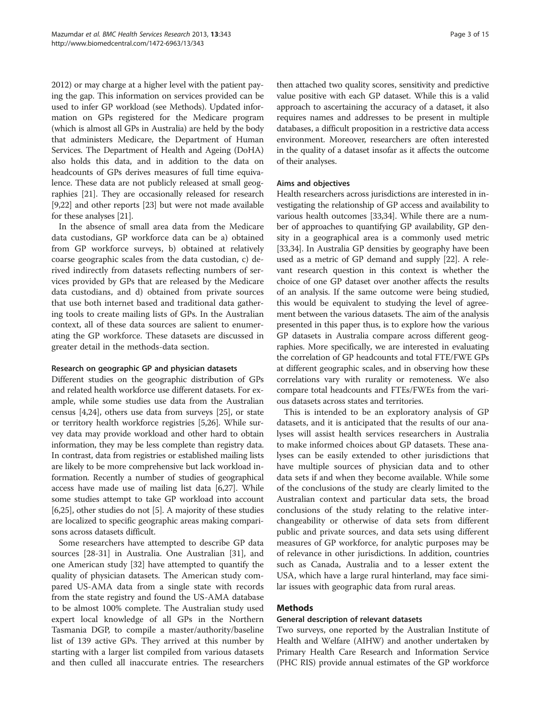2012) or may charge at a higher level with the patient paying the gap. This information on services provided can be used to infer GP workload (see Methods). Updated information on GPs registered for the Medicare program (which is almost all GPs in Australia) are held by the body that administers Medicare, the Department of Human Services. The Department of Health and Ageing (DoHA) also holds this data, and in addition to the data on headcounts of GPs derives measures of full time equivalence. These data are not publicly released at small geographies [[21](#page-13-0)]. They are occasionally released for research [[9,22](#page-13-0)] and other reports [\[23\]](#page-13-0) but were not made available for these analyses [[21\]](#page-13-0).

In the absence of small area data from the Medicare data custodians, GP workforce data can be a) obtained from GP workforce surveys, b) obtained at relatively coarse geographic scales from the data custodian, c) derived indirectly from datasets reflecting numbers of services provided by GPs that are released by the Medicare data custodians, and d) obtained from private sources that use both internet based and traditional data gathering tools to create mailing lists of GPs. In the Australian context, all of these data sources are salient to enumerating the GP workforce. These datasets are discussed in greater detail in the methods-data section.

#### Research on geographic GP and physician datasets

Different studies on the geographic distribution of GPs and related health workforce use different datasets. For example, while some studies use data from the Australian census [\[4,24\]](#page-13-0), others use data from surveys [\[25\]](#page-13-0), or state or territory health workforce registries [\[5,26\]](#page-13-0). While survey data may provide workload and other hard to obtain information, they may be less complete than registry data. In contrast, data from registries or established mailing lists are likely to be more comprehensive but lack workload information. Recently a number of studies of geographical access have made use of mailing list data [\[6,27](#page-13-0)]. While some studies attempt to take GP workload into account [[6,25](#page-13-0)], other studies do not [[5](#page-13-0)]. A majority of these studies are localized to specific geographic areas making comparisons across datasets difficult.

Some researchers have attempted to describe GP data sources [\[28-31](#page-13-0)] in Australia. One Australian [[31](#page-13-0)], and one American study [[32](#page-13-0)] have attempted to quantify the quality of physician datasets. The American study compared US-AMA data from a single state with records from the state registry and found the US-AMA database to be almost 100% complete. The Australian study used expert local knowledge of all GPs in the Northern Tasmania DGP, to compile a master/authority/baseline list of 139 active GPs. They arrived at this number by starting with a larger list compiled from various datasets and then culled all inaccurate entries. The researchers

then attached two quality scores, sensitivity and predictive value positive with each GP dataset. While this is a valid approach to ascertaining the accuracy of a dataset, it also requires names and addresses to be present in multiple databases, a difficult proposition in a restrictive data access environment. Moreover, researchers are often interested in the quality of a dataset insofar as it affects the outcome of their analyses.

#### Aims and objectives

Health researchers across jurisdictions are interested in investigating the relationship of GP access and availability to various health outcomes [[33,34\]](#page-13-0). While there are a number of approaches to quantifying GP availability, GP density in a geographical area is a commonly used metric [[33,34](#page-13-0)]. In Australia GP densities by geography have been used as a metric of GP demand and supply [\[22\]](#page-13-0). A relevant research question in this context is whether the choice of one GP dataset over another affects the results of an analysis. If the same outcome were being studied, this would be equivalent to studying the level of agreement between the various datasets. The aim of the analysis presented in this paper thus, is to explore how the various GP datasets in Australia compare across different geographies. More specifically, we are interested in evaluating the correlation of GP headcounts and total FTE/FWE GPs at different geographic scales, and in observing how these correlations vary with rurality or remoteness. We also compare total headcounts and FTEs/FWEs from the various datasets across states and territories.

This is intended to be an exploratory analysis of GP datasets, and it is anticipated that the results of our analyses will assist health services researchers in Australia to make informed choices about GP datasets. These analyses can be easily extended to other jurisdictions that have multiple sources of physician data and to other data sets if and when they become available. While some of the conclusions of the study are clearly limited to the Australian context and particular data sets, the broad conclusions of the study relating to the relative interchangeability or otherwise of data sets from different public and private sources, and data sets using different measures of GP workforce, for analytic purposes may be of relevance in other jurisdictions. In addition, countries such as Canada, Australia and to a lesser extent the USA, which have a large rural hinterland, may face similar issues with geographic data from rural areas.

#### Methods

#### General description of relevant datasets

Two surveys, one reported by the Australian Institute of Health and Welfare (AIHW) and another undertaken by Primary Health Care Research and Information Service (PHC RIS) provide annual estimates of the GP workforce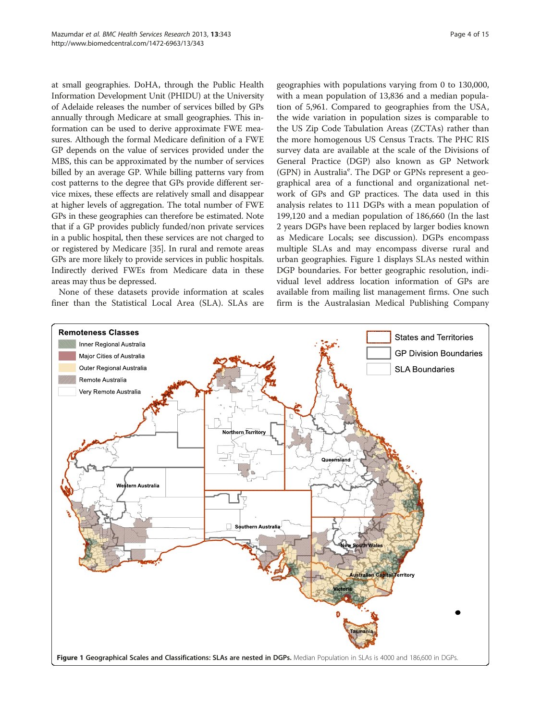<span id="page-3-0"></span>at small geographies. DoHA, through the Public Health Information Development Unit (PHIDU) at the University of Adelaide releases the number of services billed by GPs annually through Medicare at small geographies. This information can be used to derive approximate FWE measures. Although the formal Medicare definition of a FWE GP depends on the value of services provided under the MBS, this can be approximated by the number of services billed by an average GP. While billing patterns vary from cost patterns to the degree that GPs provide different service mixes, these effects are relatively small and disappear at higher levels of aggregation. The total number of FWE GPs in these geographies can therefore be estimated. Note that if a GP provides publicly funded/non private services in a public hospital, then these services are not charged to or registered by Medicare [[35](#page-13-0)]. In rural and remote areas GPs are more likely to provide services in public hospitals. Indirectly derived FWEs from Medicare data in these areas may thus be depressed.

None of these datasets provide information at scales finer than the Statistical Local Area (SLA). SLAs are geographies with populations varying from 0 to 130,000, with a mean population of 13,836 and a median population of 5,961. Compared to geographies from the USA, the wide variation in population sizes is comparable to the US Zip Code Tabulation Areas (ZCTAs) rather than the more homogenous US Census Tracts. The PHC RIS survey data are available at the scale of the Divisions of General Practice (DGP) also known as GP Network (GPN) in Australia<sup>e</sup>. The DGP or GPNs represent a geographical area of a functional and organizational network of GPs and GP practices. The data used in this analysis relates to 111 DGPs with a mean population of 199,120 and a median population of 186,660 (In the last 2 years DGPs have been replaced by larger bodies known as Medicare Locals; see [discussion](#page-7-0)). DGPs encompass multiple SLAs and may encompass diverse rural and urban geographies. Figure 1 displays SLAs nested within DGP boundaries. For better geographic resolution, individual level address location information of GPs are available from mailing list management firms. One such firm is the Australasian Medical Publishing Company

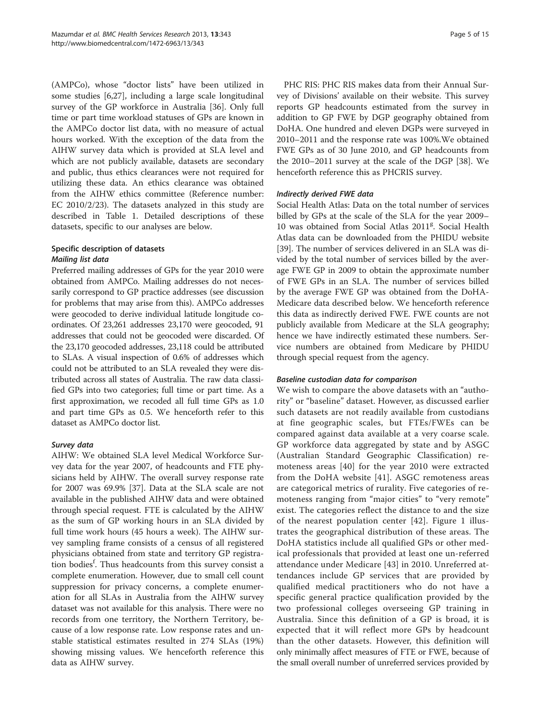(AMPCo), whose "doctor lists" have been utilized in some studies [[6](#page-13-0),[27](#page-13-0)], including a large scale longitudinal survey of the GP workforce in Australia [[36\]](#page-13-0). Only full time or part time workload statuses of GPs are known in the AMPCo doctor list data, with no measure of actual hours worked. With the exception of the data from the AIHW survey data which is provided at SLA level and which are not publicly available, datasets are secondary and public, thus ethics clearances were not required for utilizing these data. An ethics clearance was obtained from the AIHW ethics committee (Reference number: EC 2010/2/23). The datasets analyzed in this study are described in Table [1](#page-5-0). Detailed descriptions of these datasets, specific to our analyses are below.

## Specific description of datasets Mailing list data

Preferred mailing addresses of GPs for the year 2010 were obtained from AMPCo. Mailing addresses do not necessarily correspond to GP practice addresses (see [discussion](#page-7-0) for problems that may arise from this). AMPCo addresses were geocoded to derive individual latitude longitude coordinates. Of 23,261 addresses 23,170 were geocoded, 91 addresses that could not be geocoded were discarded. Of the 23,170 geocoded addresses, 23,118 could be attributed to SLAs. A visual inspection of 0.6% of addresses which could not be attributed to an SLA revealed they were distributed across all states of Australia. The raw data classified GPs into two categories; full time or part time. As a first approximation, we recoded all full time GPs as 1.0 and part time GPs as 0.5. We henceforth refer to this dataset as AMPCo doctor list.

## Survey data

AIHW: We obtained SLA level Medical Workforce Survey data for the year 2007, of headcounts and FTE physicians held by AIHW. The overall survey response rate for 2007 was 69.9% [\[37](#page-13-0)]. Data at the SLA scale are not available in the published AIHW data and were obtained through special request. FTE is calculated by the AIHW as the sum of GP working hours in an SLA divided by full time work hours (45 hours a week). The AIHW survey sampling frame consists of a census of all registered physicians obtained from state and territory GP registration bodies<sup>f</sup>. Thus headcounts from this survey consist a complete enumeration. However, due to small cell count suppression for privacy concerns, a complete enumeration for all SLAs in Australia from the AIHW survey dataset was not available for this analysis. There were no records from one territory, the Northern Territory, because of a low response rate. Low response rates and unstable statistical estimates resulted in 274 SLAs (19%) showing missing values. We henceforth reference this data as AIHW survey.

PHC RIS: PHC RIS makes data from their Annual Survey of Divisions' available on their website. This survey reports GP headcounts estimated from the survey in addition to GP FWE by DGP geography obtained from DoHA. One hundred and eleven DGPs were surveyed in 2010–2011 and the response rate was 100%.We obtained FWE GPs as of 30 June 2010, and GP headcounts from the 2010–2011 survey at the scale of the DGP [[38](#page-13-0)]. We henceforth reference this as PHCRIS survey.

### Indirectly derived FWE data

Social Health Atlas: Data on the total number of services billed by GPs at the scale of the SLA for the year 2009– 10 was obtained from Social Atlas 2011<sup>g</sup>. Social Health Atlas data can be downloaded from the PHIDU website [[39\]](#page-13-0). The number of services delivered in an SLA was divided by the total number of services billed by the average FWE GP in 2009 to obtain the approximate number of FWE GPs in an SLA. The number of services billed by the average FWE GP was obtained from the DoHA-Medicare data described below. We henceforth reference this data as indirectly derived FWE. FWE counts are not publicly available from Medicare at the SLA geography; hence we have indirectly estimated these numbers. Service numbers are obtained from Medicare by PHIDU through special request from the agency.

#### Baseline custodian data for comparison

We wish to compare the above datasets with an "authority" or "baseline" dataset. However, as discussed earlier such datasets are not readily available from custodians at fine geographic scales, but FTEs/FWEs can be compared against data available at a very coarse scale. GP workforce data aggregated by state and by ASGC (Australian Standard Geographic Classification) remoteness areas [[40\]](#page-13-0) for the year 2010 were extracted from the DoHA website [[41\]](#page-13-0). ASGC remoteness areas are categorical metrics of rurality. Five categories of remoteness ranging from "major cities" to "very remote" exist. The categories reflect the distance to and the size of the nearest population center [[42\]](#page-13-0). Figure [1](#page-3-0) illustrates the geographical distribution of these areas. The DoHA statistics include all qualified GPs or other medical professionals that provided at least one un-referred attendance under Medicare [[43](#page-13-0)] in 2010. Unreferred attendances include GP services that are provided by qualified medical practitioners who do not have a specific general practice qualification provided by the two professional colleges overseeing GP training in Australia. Since this definition of a GP is broad, it is expected that it will reflect more GPs by headcount than the other datasets. However, this definition will only minimally affect measures of FTE or FWE, because of the small overall number of unreferred services provided by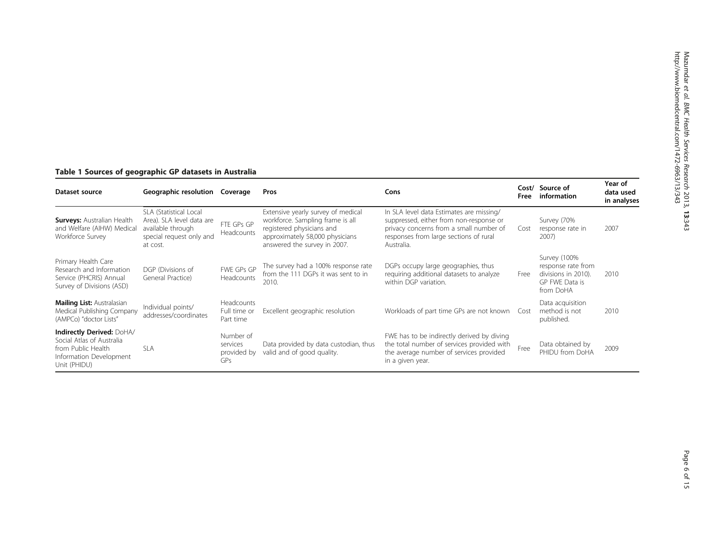## <span id="page-5-0"></span>Table 1 Sources of geographic GP datasets in Australia

| Dataset source                                                                                                          | Geographic resolution<br>Coverage<br>Pros                                                                        |                                             | Cons                                                                                                                                                                   |                                                                                                                                                                                        | Source of<br>Cost/<br>information | Year of<br>data used<br>in analyses                                                      |      |
|-------------------------------------------------------------------------------------------------------------------------|------------------------------------------------------------------------------------------------------------------|---------------------------------------------|------------------------------------------------------------------------------------------------------------------------------------------------------------------------|----------------------------------------------------------------------------------------------------------------------------------------------------------------------------------------|-----------------------------------|------------------------------------------------------------------------------------------|------|
| <b>Surveys: Australian Health</b><br>and Welfare (AIHW) Medical<br>Workforce Survey                                     | SLA (Statistical Local<br>Area). SLA level data are<br>available through<br>special request only and<br>at cost. | FTE GPs GP<br>Headcounts                    | Extensive yearly survey of medical<br>workforce. Sampling frame is all<br>registered physicians and<br>approximately 58,000 physicians<br>answered the survey in 2007. | In SLA level data Estimates are missing/<br>suppressed, either from non-response or<br>privacy concerns from a small number of<br>responses from large sections of rural<br>Australia. | Cost                              | Survey (70%<br>response rate in<br>2007)                                                 | 2007 |
| Primary Health Care<br>Research and Information<br>Service (PHCRIS) Annual<br>Survey of Divisions (ASD)                 | DGP (Divisions of<br>General Practice)                                                                           | FWE GPs GP<br>Headcounts                    | The survey had a 100% response rate<br>from the 111 DGPs it was sent to in<br>2010.                                                                                    | DGPs occupy large geographies, thus<br>requiring additional datasets to analyze<br>within DGP variation.                                                                               | Free                              | Survey (100%<br>response rate from<br>divisions in 2010).<br>GP FWE Data is<br>from DoHA | 2010 |
| <b>Mailing List: Australasian</b><br>Medical Publishing Company<br>(AMPCo) "doctor Lists"                               | Individual points/<br>addresses/coordinates                                                                      | Headcounts<br>Full time or<br>Part time     | Excellent geographic resolution                                                                                                                                        | Workloads of part time GPs are not known                                                                                                                                               | Cost                              | Data acquisition<br>method is not<br>published.                                          | 2010 |
| Indirectly Derived: DoHA/<br>Social Atlas of Australia<br>from Public Health<br>Information Development<br>Unit (PHIDU) | <b>SLA</b>                                                                                                       | Number of<br>services<br>provided by<br>GPs | Data provided by data custodian, thus<br>valid and of good quality.                                                                                                    | FWE has to be indirectly derived by diving<br>the total number of services provided with<br>the average number of services provided<br>in a given year.                                | Free                              | Data obtained by<br>PHIDU from DoHA                                                      | 2009 |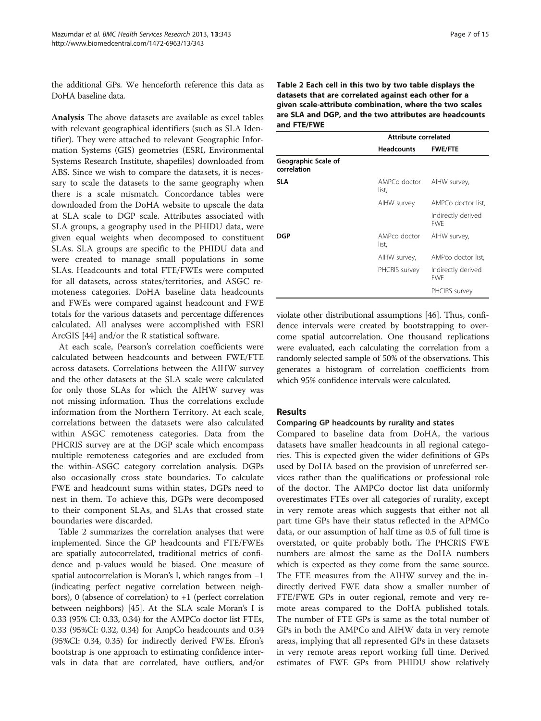the additional GPs. We henceforth reference this data as DoHA baseline data.

Analysis The above datasets are available as excel tables with relevant geographical identifiers (such as SLA Identifier). They were attached to relevant Geographic Information Systems (GIS) geometries (ESRI, Environmental Systems Research Institute, shapefiles) downloaded from ABS. Since we wish to compare the datasets, it is necessary to scale the datasets to the same geography when there is a scale mismatch. Concordance tables were downloaded from the DoHA website to upscale the data at SLA scale to DGP scale. Attributes associated with SLA groups, a geography used in the PHIDU data, were given equal weights when decomposed to constituent SLAs. SLA groups are specific to the PHIDU data and were created to manage small populations in some SLAs. Headcounts and total FTE/FWEs were computed for all datasets, across states/territories, and ASGC remoteness categories. DoHA baseline data headcounts and FWEs were compared against headcount and FWE totals for the various datasets and percentage differences calculated. All analyses were accomplished with ESRI ArcGIS [\[44](#page-13-0)] and/or the R statistical software.

At each scale, Pearson's correlation coefficients were calculated between headcounts and between FWE/FTE across datasets. Correlations between the AIHW survey and the other datasets at the SLA scale were calculated for only those SLAs for which the AIHW survey was not missing information. Thus the correlations exclude information from the Northern Territory. At each scale, correlations between the datasets were also calculated within ASGC remoteness categories. Data from the PHCRIS survey are at the DGP scale which encompass multiple remoteness categories and are excluded from the within-ASGC category correlation analysis. DGPs also occasionally cross state boundaries. To calculate FWE and headcount sums within states, DGPs need to nest in them. To achieve this, DGPs were decomposed to their component SLAs, and SLAs that crossed state boundaries were discarded.

Table 2 summarizes the correlation analyses that were implemented. Since the GP headcounts and FTE/FWEs are spatially autocorrelated, traditional metrics of confidence and p-values would be biased. One measure of spatial autocorrelation is Moran's I, which ranges from −1 (indicating perfect negative correlation between neighbors), 0 (absence of correlation) to  $+1$  (perfect correlation between neighbors) [\[45\]](#page-13-0). At the SLA scale Moran's I is 0.33 (95% CI: 0.33, 0.34) for the AMPCo doctor list FTEs, 0.33 (95%CI: 0.32, 0.34) for AmpCo headcounts and 0.34 (95%CI: 0.34, 0.35) for indirectly derived FWEs. Efron's bootstrap is one approach to estimating confidence intervals in data that are correlated, have outliers, and/or Table 2 Each cell in this two by two table displays the datasets that are correlated against each other for a given scale-attribute combination, where the two scales are SLA and DGP, and the two attributes are headcounts and FTE/FWE

|                                    | Attribute correlated  |                                  |
|------------------------------------|-----------------------|----------------------------------|
|                                    | <b>Headcounts</b>     | <b>FWE/FTE</b>                   |
| Geographic Scale of<br>correlation |                       |                                  |
| SL A                               | AMPCo doctor<br>list, | AIHW survey,                     |
|                                    | AIHW survey           | AMPCo doctor list.               |
|                                    |                       | Indirectly derived<br><b>FWF</b> |
| DGP                                | AMPco doctor<br>list, | AIHW survey,                     |
|                                    | AIHW survey,          | AMPco doctor list.               |
|                                    | PHCRIS survey         | Indirectly derived<br><b>FWF</b> |
|                                    |                       | PHCIRS survey                    |

violate other distributional assumptions [\[46\]](#page-14-0). Thus, confidence intervals were created by bootstrapping to overcome spatial autcorrelation. One thousand replications were evaluated, each calculating the correlation from a randomly selected sample of 50% of the observations. This generates a histogram of correlation coefficients from which 95% confidence intervals were calculated.

#### Results

#### Comparing GP headcounts by rurality and states

Compared to baseline data from DoHA, the various datasets have smaller headcounts in all regional categories. This is expected given the wider definitions of GPs used by DoHA based on the provision of unreferred services rather than the qualifications or professional role of the doctor. The AMPCo doctor list data uniformly overestimates FTEs over all categories of rurality, except in very remote areas which suggests that either not all part time GPs have their status reflected in the APMCo data, or our assumption of half time as 0.5 of full time is overstated, or quite probably both. The PHCRIS FWE numbers are almost the same as the DoHA numbers which is expected as they come from the same source. The FTE measures from the AIHW survey and the indirectly derived FWE data show a smaller number of FTE/FWE GPs in outer regional, remote and very remote areas compared to the DoHA published totals. The number of FTE GPs is same as the total number of GPs in both the AMPCo and AIHW data in very remote areas, implying that all represented GPs in these datasets in very remote areas report working full time. Derived estimates of FWE GPs from PHIDU show relatively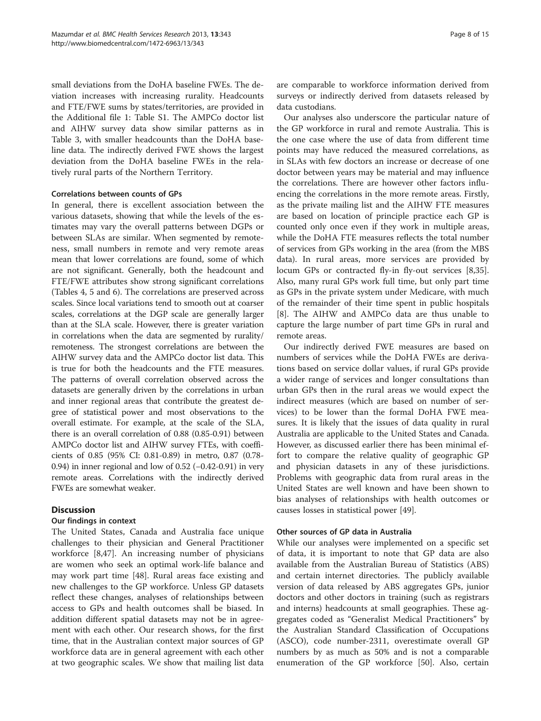<span id="page-7-0"></span>small deviations from the DoHA baseline FWEs. The deviation increases with increasing rurality. Headcounts and FTE/FWE sums by states/territories, are provided in the Additional file [1:](#page-12-0) Table S1. The AMPCo doctor list and AIHW survey data show similar patterns as in Table [3,](#page-8-0) with smaller headcounts than the DoHA baseline data. The indirectly derived FWE shows the largest deviation from the DoHA baseline FWEs in the relatively rural parts of the Northern Territory.

#### Correlations between counts of GPs

In general, there is excellent association between the various datasets, showing that while the levels of the estimates may vary the overall patterns between DGPs or between SLAs are similar. When segmented by remoteness, small numbers in remote and very remote areas mean that lower correlations are found, some of which are not significant. Generally, both the headcount and FTE/FWE attributes show strong significant correlations (Tables [4,](#page-9-0) [5](#page-10-0) and [6](#page-11-0)). The correlations are preserved across scales. Since local variations tend to smooth out at coarser scales, correlations at the DGP scale are generally larger than at the SLA scale. However, there is greater variation in correlations when the data are segmented by rurality/ remoteness. The strongest correlations are between the AIHW survey data and the AMPCo doctor list data. This is true for both the headcounts and the FTE measures. The patterns of overall correlation observed across the datasets are generally driven by the correlations in urban and inner regional areas that contribute the greatest degree of statistical power and most observations to the overall estimate. For example, at the scale of the SLA, there is an overall correlation of 0.88 (0.85-0.91) between AMPCo doctor list and AIHW survey FTEs, with coefficients of 0.85 (95% CI: 0.81-0.89) in metro, 0.87 (0.78- 0.94) in inner regional and low of 0.52 (−0.42-0.91) in very remote areas. Correlations with the indirectly derived FWEs are somewhat weaker.

### **Discussion**

#### Our findings in context

The United States, Canada and Australia face unique challenges to their physician and General Practitioner workforce [\[8](#page-13-0)[,47](#page-14-0)]. An increasing number of physicians are women who seek an optimal work-life balance and may work part time [\[48\]](#page-14-0). Rural areas face existing and new challenges to the GP workforce. Unless GP datasets reflect these changes, analyses of relationships between access to GPs and health outcomes shall be biased. In addition different spatial datasets may not be in agreement with each other. Our research shows, for the first time, that in the Australian context major sources of GP workforce data are in general agreement with each other at two geographic scales. We show that mailing list data are comparable to workforce information derived from surveys or indirectly derived from datasets released by data custodians.

Our analyses also underscore the particular nature of the GP workforce in rural and remote Australia. This is the one case where the use of data from different time points may have reduced the measured correlations, as in SLAs with few doctors an increase or decrease of one doctor between years may be material and may influence the correlations. There are however other factors influencing the correlations in the more remote areas. Firstly, as the private mailing list and the AIHW FTE measures are based on location of principle practice each GP is counted only once even if they work in multiple areas, while the DoHA FTE measures reflects the total number of services from GPs working in the area (from the MBS data). In rural areas, more services are provided by locum GPs or contracted fly-in fly-out services [\[8,35](#page-13-0)]. Also, many rural GPs work full time, but only part time as GPs in the private system under Medicare, with much of the remainder of their time spent in public hospitals [[8\]](#page-13-0). The AIHW and AMPCo data are thus unable to capture the large number of part time GPs in rural and remote areas.

Our indirectly derived FWE measures are based on numbers of services while the DoHA FWEs are derivations based on service dollar values, if rural GPs provide a wider range of services and longer consultations than urban GPs then in the rural areas we would expect the indirect measures (which are based on number of services) to be lower than the formal DoHA FWE measures. It is likely that the issues of data quality in rural Australia are applicable to the United States and Canada. However, as discussed earlier there has been minimal effort to compare the relative quality of geographic GP and physician datasets in any of these jurisdictions. Problems with geographic data from rural areas in the United States are well known and have been shown to bias analyses of relationships with health outcomes or causes losses in statistical power [\[49](#page-14-0)].

#### Other sources of GP data in Australia

While our analyses were implemented on a specific set of data, it is important to note that GP data are also available from the Australian Bureau of Statistics (ABS) and certain internet directories. The publicly available version of data released by ABS aggregates GPs, junior doctors and other doctors in training (such as registrars and interns) headcounts at small geographies. These aggregates coded as "Generalist Medical Practitioners" by the Australian Standard Classification of Occupations (ASCO), code number-2311, overestimate overall GP numbers by as much as 50% and is not a comparable enumeration of the GP workforce [\[50](#page-14-0)]. Also, certain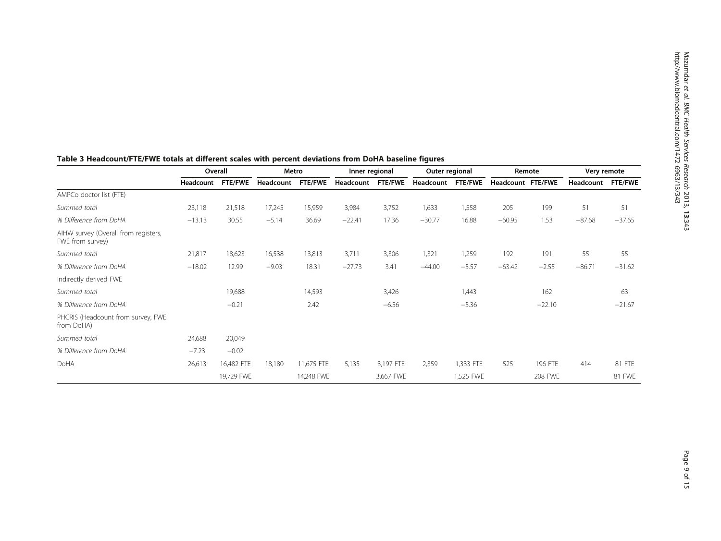|                                                          | Overall   |                | Metro     |                | Inner regional |                | Outer regional |                | Remote            |          | Very remote |                |
|----------------------------------------------------------|-----------|----------------|-----------|----------------|----------------|----------------|----------------|----------------|-------------------|----------|-------------|----------------|
|                                                          | Headcount | <b>FTE/FWE</b> | Headcount | <b>FTE/FWE</b> | Headcount      | <b>FTE/FWE</b> | Headcount      | <b>FTE/FWE</b> | Headcount FTE/FWE |          | Headcount   | <b>FTE/FWE</b> |
| AMPCo doctor list (FTE)                                  |           |                |           |                |                |                |                |                |                   |          |             |                |
| Summed total                                             | 23,118    | 21,518         | 17,245    | 15,959         | 3,984          | 3,752          | 1,633          | 1,558          | 205               | 199      | 51          | 51             |
| % Difference from DoHA                                   | $-13.13$  | 30.55          | $-5.14$   | 36.69          | $-22.41$       | 17.36          | $-30.77$       | 16.88          | $-60.95$          | 1.53     | $-87.68$    | $-37.65$       |
| AIHW survey (Overall from registers,<br>FWE from survey) |           |                |           |                |                |                |                |                |                   |          |             |                |
| Summed total                                             | 21,817    | 18,623         | 16,538    | 13,813         | 3,711          | 3,306          | 1,321          | 1,259          | 192               | 191      | 55          | 55             |
| % Difference from DoHA                                   | $-18.02$  | 12.99          | $-9.03$   | 18.31          | $-27.73$       | 3.41           | $-44.00$       | $-5.57$        | $-63.42$          | $-2.55$  | $-86.71$    | $-31.62$       |
| Indirectly derived FWE                                   |           |                |           |                |                |                |                |                |                   |          |             |                |
| Summed total                                             |           | 19,688         |           | 14,593         |                | 3,426          |                | 1,443          |                   | 162      |             | 63             |
| % Difference from DoHA                                   |           | $-0.21$        |           | 2.42           |                | $-6.56$        |                | $-5.36$        |                   | $-22.10$ |             | $-21.67$       |
| PHCRIS (Headcount from survey, FWE<br>from DoHA)         |           |                |           |                |                |                |                |                |                   |          |             |                |
| Summed total                                             | 24,688    | 20,049         |           |                |                |                |                |                |                   |          |             |                |
| % Difference from DoHA                                   | $-7.23$   | $-0.02$        |           |                |                |                |                |                |                   |          |             |                |
| DoHA                                                     | 26,613    | 16,482 FTE     | 18,180    | 11,675 FTE     | 5,135          | 3,197 FTE      | 2,359          | 1,333 FTE      | 525               | 196 FTE  | 414         | 81 FTE         |
|                                                          |           | 19,729 FWE     |           | 14,248 FWE     |                | 3,667 FWE      |                | 1,525 FWE      |                   | 208 FWE  |             | 81 FWE         |

## <span id="page-8-0"></span>Table 3 Headcount/FTE/FWE totals at different scales with percent deviations from DoHA baseline figures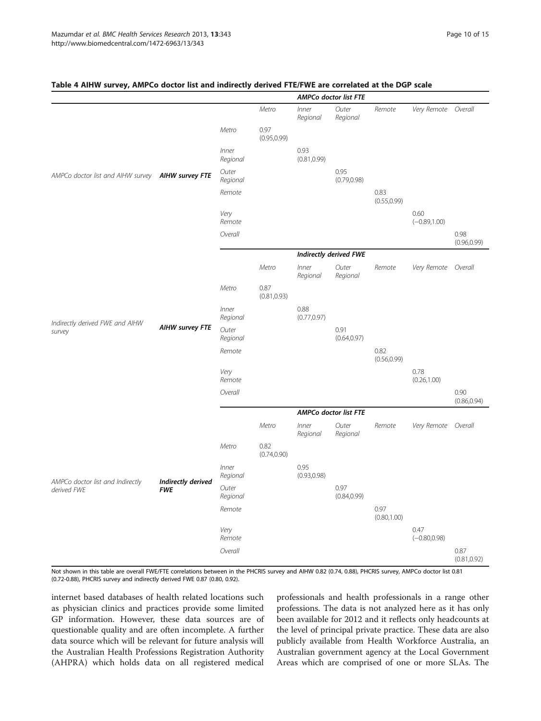|                                                   |                        |                   |                      |                      | <b>AMPCo doctor list FTE</b> |                      |                         |                      |
|---------------------------------------------------|------------------------|-------------------|----------------------|----------------------|------------------------------|----------------------|-------------------------|----------------------|
|                                                   |                        |                   | Metro                | Inner<br>Regional    | Outer<br>Regional            | Remote               | Very Remote Overall     |                      |
|                                                   |                        | Metro             | 0.97<br>(0.95, 0.99) |                      |                              |                      |                         |                      |
|                                                   |                        | Inner<br>Regional |                      | 0.93<br>(0.81, 0.99) |                              |                      |                         |                      |
| AMPCo doctor list and AIHW survey AIHW survey FTE |                        | Outer<br>Regional |                      |                      | 0.95<br>(0.79, 0.98)         |                      |                         |                      |
|                                                   |                        | Remote            |                      |                      |                              | 0.83<br>(0.55, 0.99) |                         |                      |
|                                                   |                        | Very<br>Remote    |                      |                      |                              |                      | 0.60<br>$(-0.89, 1.00)$ |                      |
|                                                   |                        | Overall           |                      |                      |                              |                      |                         | 0.98<br>(0.96, 0.99) |
|                                                   |                        |                   |                      |                      | Indirectly derived FWE       |                      |                         |                      |
|                                                   | <b>AIHW survey FTE</b> |                   | Metro                | Inner<br>Regional    | Outer<br>Regional            | Remote               | Very Remote             | Overall              |
|                                                   |                        | Metro             | 0.87<br>(0.81, 0.93) |                      |                              |                      |                         |                      |
| Indirectly derived FWE and AIHW                   |                        | Inner<br>Regional |                      | 0.88<br>(0.77, 0.97) |                              |                      |                         |                      |
| survey                                            |                        | Outer<br>Regional |                      |                      | 0.91<br>(0.64, 0.97)         |                      |                         |                      |
|                                                   |                        | Remote            |                      |                      |                              | 0.82<br>(0.56, 0.99) |                         |                      |
|                                                   |                        | Very<br>Remote    |                      |                      |                              |                      | 0.78<br>(0.26, 1.00)    |                      |
|                                                   |                        | Overall           |                      |                      |                              |                      |                         | 0.90<br>(0.86, 0.94) |
|                                                   |                        |                   |                      |                      | <b>AMPCo doctor list FTE</b> |                      |                         |                      |
|                                                   |                        |                   | Metro                | Inner<br>Regional    | Outer<br>Regional            | Remote               | Very Remote             | Overall              |
|                                                   |                        | Metro             | 0.82<br>(0.74, 0.90) |                      |                              |                      |                         |                      |
| AMPCo doctor list and Indirectly                  | Indirectly derived     | Inner<br>Regional |                      | 0.95<br>(0.93, 0.98) |                              |                      |                         |                      |
| derived FWE                                       | <b>FWE</b>             | Outer<br>Regional |                      |                      | 0.97<br>(0.84, 0.99)         |                      |                         |                      |
|                                                   |                        | Remote            |                      |                      |                              | 0.97<br>(0.80, 1.00) |                         |                      |
|                                                   |                        | Very<br>Remote    |                      |                      |                              |                      | 0.47<br>$(-0.80, 0.98)$ |                      |
|                                                   |                        | Overall           |                      |                      |                              |                      |                         | 0.87<br>(0.81, 0.92) |

#### <span id="page-9-0"></span>Table 4 AIHW survey, AMPCo doctor list and indirectly derived FTE/FWE are correlated at the DGP scale

Not shown in this table are overall FWE/FTE correlations between in the PHCRIS survey and AIHW 0.82 (0.74, 0.88), PHCRIS survey, AMPCo doctor list 0.81 (0.72-0.88), PHCRIS survey and indirectly derived FWE 0.87 (0.80, 0.92).

internet based databases of health related locations such as physician clinics and practices provide some limited GP information. However, these data sources are of questionable quality and are often incomplete. A further data source which will be relevant for future analysis will the Australian Health Professions Registration Authority (AHPRA) which holds data on all registered medical

professionals and health professionals in a range other professions. The data is not analyzed here as it has only been available for 2012 and it reflects only headcounts at the level of principal private practice. These data are also publicly available from Health Workforce Australia, an Australian government agency at the Local Government Areas which are comprised of one or more SLAs. The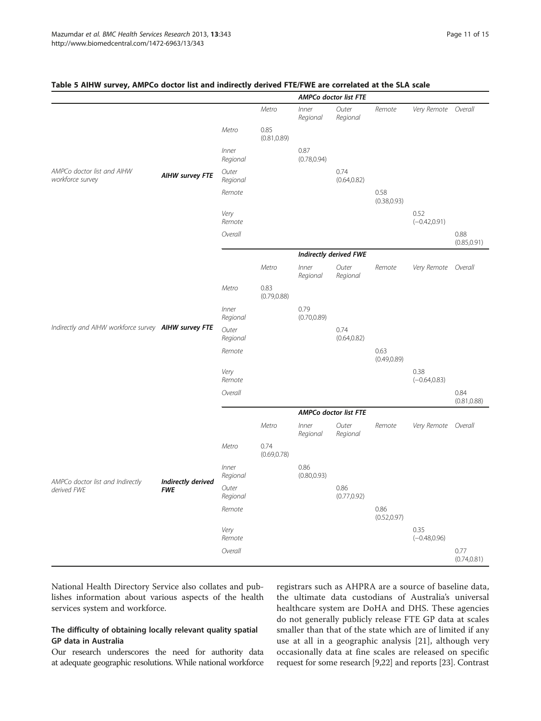|                                                      |                        |                   |                      |                      | <b>AMPCo doctor list FTE</b>  |                      |                         |                      |
|------------------------------------------------------|------------------------|-------------------|----------------------|----------------------|-------------------------------|----------------------|-------------------------|----------------------|
|                                                      |                        |                   | Metro                | Inner<br>Regional    | Outer<br>Regional             | Remote               | Very Remote Overall     |                      |
|                                                      |                        | Metro             | 0.85<br>(0.81, 0.89) |                      |                               |                      |                         |                      |
|                                                      |                        | Inner<br>Regional |                      | 0.87<br>(0.78, 0.94) |                               |                      |                         |                      |
| AMPCo doctor list and AIHW<br>workforce survey       | <b>AIHW survey FTE</b> | Outer<br>Regional |                      |                      | 0.74<br>(0.64, 0.82)          |                      |                         |                      |
|                                                      |                        | Remote            |                      |                      |                               | 0.58<br>(0.38, 0.93) |                         |                      |
|                                                      |                        | Very<br>Remote    |                      |                      |                               |                      | 0.52<br>$(-0.42, 0.91)$ |                      |
|                                                      |                        | Overall           |                      |                      |                               |                      |                         | 0.88<br>(0.85, 0.91) |
|                                                      |                        |                   |                      |                      | <b>Indirectly derived FWE</b> |                      |                         |                      |
|                                                      |                        |                   | Metro                | Inner<br>Regional    | Outer<br>Regional             | Remote               | Very Remote             | Overall              |
|                                                      |                        | Metro             | 0.83<br>(0.79, 0.88) |                      |                               |                      |                         |                      |
|                                                      |                        | Inner<br>Regional |                      | 0.79<br>(0.70, 0.89) |                               |                      |                         |                      |
| Indirectly and AIHW workforce survey AIHW survey FTE |                        | Outer<br>Regional |                      |                      | 0.74<br>(0.64, 0.82)          |                      |                         |                      |
|                                                      |                        | Remote            |                      |                      |                               | 0.63<br>(0.49, 0.89) |                         |                      |
|                                                      |                        | Very<br>Remote    |                      |                      |                               |                      | 0.38<br>$(-0.64, 0.83)$ |                      |
|                                                      |                        | Overall           |                      |                      |                               |                      |                         | 0.84<br>(0.81, 0.88) |
|                                                      |                        |                   |                      |                      | <b>AMPCo doctor list FTE</b>  |                      |                         |                      |
|                                                      |                        |                   | Metro                | Inner<br>Regional    | Outer<br>Regional             | Remote               | Very Remote             | Overall              |
|                                                      |                        | Metro             | 0.74<br>(0.69, 0.78) |                      |                               |                      |                         |                      |
| AMPCo doctor list and Indirectly                     | Indirectly derived     | Inner<br>Regional |                      | 0.86<br>(0.80, 0.93) |                               |                      |                         |                      |
| derived FWE                                          | <b>FWE</b>             | Outer<br>Regional |                      |                      | 0.86<br>(0.77, 0.92)          |                      |                         |                      |
|                                                      |                        | Remote            |                      |                      |                               | 0.86<br>(0.52, 0.97) |                         |                      |
|                                                      |                        | Very<br>Remote    |                      |                      |                               |                      | 0.35<br>$(-0.48, 0.96)$ |                      |
|                                                      |                        | Overall           |                      |                      |                               |                      |                         | 0.77<br>(0.74, 0.81) |

#### <span id="page-10-0"></span>Table 5 AIHW survey, AMPCo doctor list and indirectly derived FTE/FWE are correlated at the SLA scale

National Health Directory Service also collates and publishes information about various aspects of the health services system and workforce.

### The difficulty of obtaining locally relevant quality spatial GP data in Australia

Our research underscores the need for authority data at adequate geographic resolutions. While national workforce registrars such as AHPRA are a source of baseline data, the ultimate data custodians of Australia's universal healthcare system are DoHA and DHS. These agencies do not generally publicly release FTE GP data at scales smaller than that of the state which are of limited if any use at all in a geographic analysis [\[21](#page-13-0)], although very occasionally data at fine scales are released on specific request for some research [\[9,22\]](#page-13-0) and reports [\[23](#page-13-0)]. Contrast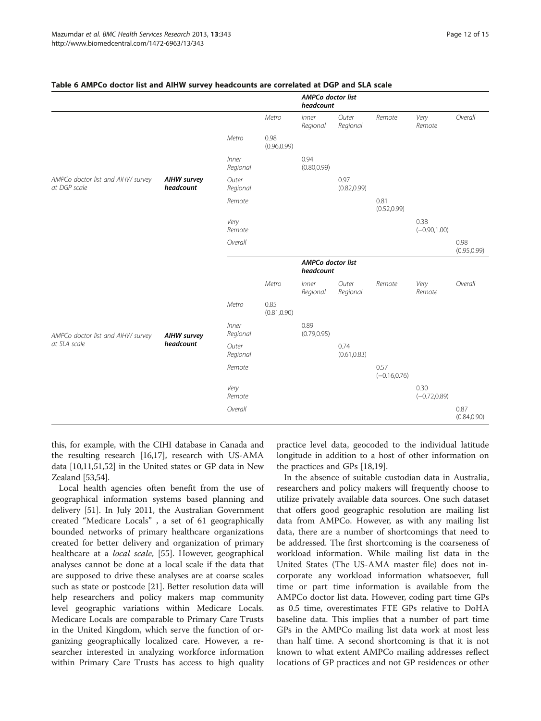|                                                   |                                 |                   |                      | <b>AMPCo doctor list</b><br>headcount |                      |                         |                         |                      |
|---------------------------------------------------|---------------------------------|-------------------|----------------------|---------------------------------------|----------------------|-------------------------|-------------------------|----------------------|
|                                                   |                                 |                   | Metro                | Inner<br>Regional                     | Outer<br>Regional    | Remote                  | Very<br>Remote          | Overall              |
|                                                   |                                 | Metro             | 0.98<br>(0.96, 0.99) |                                       |                      |                         |                         |                      |
|                                                   |                                 | Inner<br>Regional |                      | 0.94<br>(0.80, 0.99)                  |                      |                         |                         |                      |
| AMPCo doctor list and AIHW survey<br>at DGP scale | <b>AIHW survey</b><br>headcount | Outer<br>Regional |                      |                                       | 0.97<br>(0.82, 0.99) |                         |                         |                      |
|                                                   |                                 | Remote            |                      |                                       |                      | 0.81<br>(0.52, 0.99)    |                         |                      |
|                                                   |                                 | Very<br>Remote    |                      |                                       |                      |                         | 0.38<br>$(-0.90, 1.00)$ |                      |
|                                                   |                                 | Overall           |                      |                                       |                      |                         |                         | 0.98<br>(0.95, 0.99) |
|                                                   |                                 |                   |                      | AMPCo doctor list<br>headcount        |                      |                         |                         |                      |
|                                                   |                                 |                   | Metro                | Inner<br>Regional                     | Outer<br>Regional    | Remote                  | Very<br>Remote          | Overall              |
|                                                   |                                 | Metro             | 0.85<br>(0.81, 0.90) |                                       |                      |                         |                         |                      |
| AMPCo doctor list and AIHW survey                 | <b>AIHW survey</b>              | Inner<br>Regional |                      | 0.89<br>(0.79, 0.95)                  |                      |                         |                         |                      |
| at SLA scale                                      | headcount                       | Outer<br>Regional |                      |                                       | 0.74<br>(0.61, 0.83) |                         |                         |                      |
|                                                   |                                 | Remote            |                      |                                       |                      | 0.57<br>$(-0.16, 0.76)$ |                         |                      |
|                                                   |                                 | Very<br>Remote    |                      |                                       |                      |                         | 0.30<br>$(-0.72, 0.89)$ |                      |
|                                                   |                                 | Overall           |                      |                                       |                      |                         |                         | 0.87<br>(0.84, 0.90) |

#### <span id="page-11-0"></span>Table 6 AMPCo doctor list and AIHW survey headcounts are correlated at DGP and SLA scale

this, for example, with the CIHI database in Canada and the resulting research [\[16,17\]](#page-13-0), research with US-AMA data [[10,11](#page-13-0)[,51,52](#page-14-0)] in the United states or GP data in New Zealand [\[53,54](#page-14-0)].

Local health agencies often benefit from the use of geographical information systems based planning and delivery [\[51\]](#page-14-0). In July 2011, the Australian Government created "Medicare Locals" , a set of 61 geographically bounded networks of primary healthcare organizations created for better delivery and organization of primary healthcare at a *local scale*, [\[55\]](#page-14-0). However, geographical analyses cannot be done at a local scale if the data that are supposed to drive these analyses are at coarse scales such as state or postcode [[21\]](#page-13-0). Better resolution data will help researchers and policy makers map community level geographic variations within Medicare Locals. Medicare Locals are comparable to Primary Care Trusts in the United Kingdom, which serve the function of organizing geographically localized care. However, a researcher interested in analyzing workforce information within Primary Care Trusts has access to high quality practice level data, geocoded to the individual latitude longitude in addition to a host of other information on the practices and GPs [\[18,19\]](#page-13-0).

In the absence of suitable custodian data in Australia, researchers and policy makers will frequently choose to utilize privately available data sources. One such dataset that offers good geographic resolution are mailing list data from AMPCo. However, as with any mailing list data, there are a number of shortcomings that need to be addressed. The first shortcoming is the coarseness of workload information. While mailing list data in the United States (The US-AMA master file) does not incorporate any workload information whatsoever, full time or part time information is available from the AMPCo doctor list data. However, coding part time GPs as 0.5 time, overestimates FTE GPs relative to DoHA baseline data. This implies that a number of part time GPs in the AMPCo mailing list data work at most less than half time. A second shortcoming is that it is not known to what extent AMPCo mailing addresses reflect locations of GP practices and not GP residences or other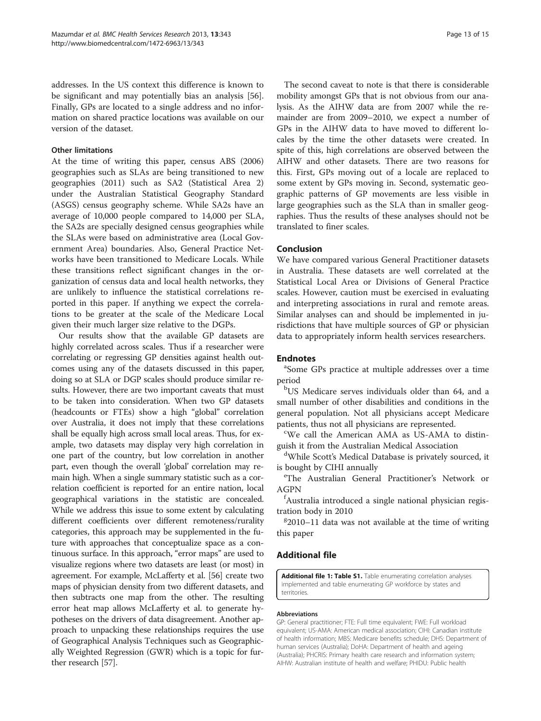<span id="page-12-0"></span>addresses. In the US context this difference is known to be significant and may potentially bias an analysis [\[56](#page-14-0)]. Finally, GPs are located to a single address and no information on shared practice locations was available on our version of the dataset.

#### Other limitations

At the time of writing this paper, census ABS (2006) geographies such as SLAs are being transitioned to new geographies (2011) such as SA2 (Statistical Area 2) under the Australian Statistical Geography Standard (ASGS) census geography scheme. While SA2s have an average of 10,000 people compared to 14,000 per SLA, the SA2s are specially designed census geographies while the SLAs were based on administrative area (Local Government Area) boundaries. Also, General Practice Networks have been transitioned to Medicare Locals. While these transitions reflect significant changes in the organization of census data and local health networks, they are unlikely to influence the statistical correlations reported in this paper. If anything we expect the correlations to be greater at the scale of the Medicare Local given their much larger size relative to the DGPs.

Our results show that the available GP datasets are highly correlated across scales. Thus if a researcher were correlating or regressing GP densities against health outcomes using any of the datasets discussed in this paper, doing so at SLA or DGP scales should produce similar results. However, there are two important caveats that must to be taken into consideration. When two GP datasets (headcounts or FTEs) show a high "global" correlation over Australia, it does not imply that these correlations shall be equally high across small local areas. Thus, for example, two datasets may display very high correlation in one part of the country, but low correlation in another part, even though the overall 'global' correlation may remain high. When a single summary statistic such as a correlation coefficient is reported for an entire nation, local geographical variations in the statistic are concealed. While we address this issue to some extent by calculating different coefficients over different remoteness/rurality categories, this approach may be supplemented in the future with approaches that conceptualize space as a continuous surface. In this approach, "error maps" are used to visualize regions where two datasets are least (or most) in agreement. For example, McLafferty et al. [\[56](#page-14-0)] create two maps of physician density from two different datasets, and then subtracts one map from the other. The resulting error heat map allows McLafferty et al. to generate hypotheses on the drivers of data disagreement. Another approach to unpacking these relationships requires the use of Geographical Analysis Techniques such as Geographically Weighted Regression (GWR) which is a topic for further research [\[57](#page-14-0)].

The second caveat to note is that there is considerable mobility amongst GPs that is not obvious from our analysis. As the AIHW data are from 2007 while the remainder are from 2009–2010, we expect a number of GPs in the AIHW data to have moved to different locales by the time the other datasets were created. In spite of this, high correlations are observed between the AIHW and other datasets. There are two reasons for this. First, GPs moving out of a locale are replaced to some extent by GPs moving in. Second, systematic geographic patterns of GP movements are less visible in large geographies such as the SLA than in smaller geographies. Thus the results of these analyses should not be translated to finer scales.

#### Conclusion

We have compared various General Practitioner datasets in Australia. These datasets are well correlated at the Statistical Local Area or Divisions of General Practice scales. However, caution must be exercised in evaluating and interpreting associations in rural and remote areas. Similar analyses can and should be implemented in jurisdictions that have multiple sources of GP or physician data to appropriately inform health services researchers.

#### **Endnotes**

Some GPs practice at multiple addresses over a time period

b US Medicare serves individuals older than 64, and a small number of other disabilities and conditions in the general population. Not all physicians accept Medicare patients, thus not all physicians are represented.

We call the American AMA as US-AMA to distinguish it from the Australian Medical Association

<sup>d</sup>While Scott's Medical Database is privately sourced, it is bought by CIHI annually

The Australian General Practitioner's Network or AGPN

f Australia introduced a single national physician registration body in 2010

 $g$ 2010–11 data was not available at the time of writing this paper

#### Additional file

[Additional file 1: Table S1.](http://www.biomedcentral.com/content/supplementary/1472-6963-13-343-S1.docx) Table enumerating correlation analyses implemented and table enumerating GP workforce by states and territories.

#### Abbreviations

GP: General practitioner; FTE: Full time equivalent; FWE: Full workload equivalent; US-AMA: American medical association; CIHI: Canadian institute of health information; MBS: Medicare benefits schedule; DHS: Department of human services (Australia); DoHA: Department of health and ageing (Australia); PHCRIS: Primary health care research and information system; AIHW: Australian institute of health and welfare; PHIDU: Public health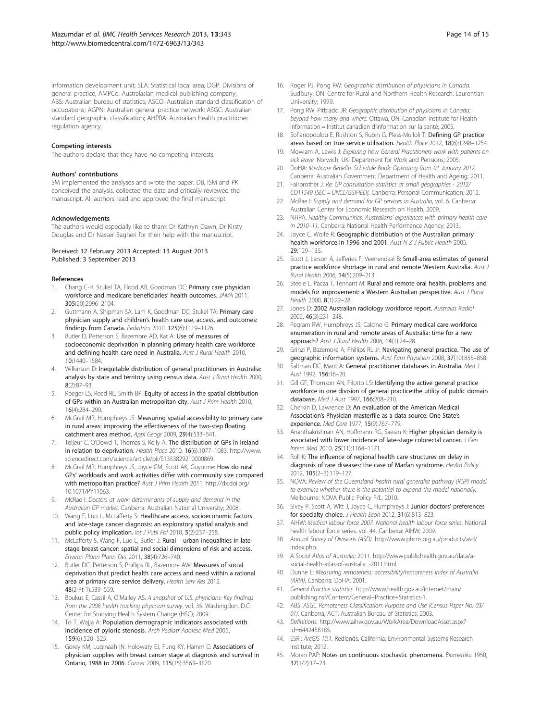<span id="page-13-0"></span>information development unit; SLA: Statistical local area; DGP: Divisions of general practice; AMPCo: Australasian medical publishing company; ABS: Australian bureau of statistics; ASCO: Australian standard classification of occupations; AGPN: Australian general practice network; ASGC: Australian standard geographic classification; AHPRA: Australian health practitioner regulation agency.

#### Competing interests

The authors declare that they have no competing interests.

#### Authors' contributions

SM implemented the analyses and wrote the paper. DB, ISM and PK conceived the analysis, collected the data and critically reviewed the manuscript. All authors read and approved the final manuscript.

#### Acknowledgements

The authors would especially like to thank Dr Kathryn Dawn, Dr Kirsty Douglas and Dr Nasser Bagheri for their help with the manuscript.

#### Received: 12 February 2013 Accepted: 13 August 2013 Published: 3 September 2013

#### References

- Chang C-H, Stukel TA, Flood AB, Goodman DC: Primary care physician workforce and medicare beneficiaries' health outcomes. JAMA 2011, 305(20):2096–2104.
- 2. Guttmann A, Shipman SA, Lam K, Goodman DC, Stukel TA: Primary care physician supply and children's health care use, access, and outcomes: findings from Canada. Pediatrics 2010, 125(6):1119–1126.
- Butler D, Petterson S, Bazemore AD, Kat A: Use of measures of socioeconomic deprivation in planning primary health care workforce and defining health care need in Australia. Aust J Rural Health 2010, 10:1440–1584.
- 4. Wilkinson D: Inequitable distribution of general practitioners in Australia: analysis by state and territory using census data. Aust J Rural Health 2000, 8(2):87–93.
- Roeger LS, Reed RL, Smith BP: Equity of access in the spatial distribution of GPs within an Australian metropolitan city. Aust J Prim Health 2010, 16(4):284–290.
- McGrail MR, Humphreys JS: Measuring spatial accessibility to primary care in rural areas: improving the effectiveness of the two-step floating catchment area method. Appl Geogr 2009, 29(4):533–541.
- 7. Teljeur C, O'Dowd T, Thomas S, Kelly A: The distribution of GPs in Ireland in relation to deprivation. Health Place 2010, 16(6):1077–1083. [http://www.](http://www.sciencedirect.com/science/article/pii/S1353829210000869) [sciencedirect.com/science/article/pii/S1353829210000869.](http://www.sciencedirect.com/science/article/pii/S1353829210000869)
- 8. McGrail MR, Humphreys JS, Joyce CM, Scott AK, Guyonne: How do rural GPs' workloads and work activities differ with community size compared with metropolitan practice? Aust J Prim Health 2011. http://dx.doi.org/ [10.1071/PY11063](http://dx.doi.org/10.1071/PY11063).
- 9. McRae I: Doctors at work: determinants of supply and demand in the Australian GP market. Canberra: Australian National University; 2008.
- 10. Wang F, Luo L, McLafferty S: Healthcare access, socioeconomic factors and late-stage cancer diagnosis: an exploratory spatial analysis and public policy implication. Int J Publ Pol 2010, 5(2):237-258
- 11. McLafferty S, Wang F, Luo L, Butler J: Rural urban inequalities in latestage breast cancer: spatial and social dimensions of risk and access. Environ Plann Plann Des 2011, 38(4):726–740.
- 12. Butler DC, Petterson S, Phillips RL, Bazemore AW: Measures of social deprivation that predict health care access and need within a rational area of primary care service delivery. Health Serv Res 2012, 48(2-Pt-1):539–559.
- 13. Boukus E, Cassil A, O'Malley AS: A snapshot of U.S. physicians: Key findings from the 2008 health tracking physician survey, vol. 35. Washingdon, D.C: Center for Studying Health System Change (HSC); 2009.
- 14. To T, Wajja A: Population demographic indicators associated with incidence of pyloric stenosis. Arch Pediatr Adolesc Med 2005, 159(6):520–525.
- 15. Gorey KM, Luginaah IN, Holowaty EJ, Fung KY, Hamm C: Associations of physician supplies with breast cancer stage at diagnosis and survival in Ontario, 1988 to 2006. Cancer 2009, 115(15):3563–3570.
- 16. Roger PJ, Pong RW: Geographic distribution of physicians in Canada. Sudbury, ON: Centre for Rural and Northern Health Research: Laurentian University; 1999.
- 17. Pong RW, Pitblado JR: Geographic distribution of physicians in Canada: beyond how many and where. Ottawa, ON: Canadian Institute for Health Information = Institut canadien d'information sur la santé; 2005.
- 18. Sofianopoulou E, Rushton S, Rubin G, Pless-Mulloli T: Defining GP practice areas based on true service utilisation. Health Place 2012, 18(6):1248-1254.
- 19. Mowlam A, Lewis J: Exploring how General Practitioners work with patients on sick leave. Norwich, UK: Department for Work and Pensions; 2005.
- 20. DoHA: Medicare Benefits Schedule Book: Operating from 01 January 2012. Canberra: Australian Government Department of Health and Ageing; 2011.
- 21. Fairbrother J: Re: GP consultation statistics at small geographies 2012/ CO11549 [SEC = UNCLASSIFIED]. Canberra: Personal Communication; 2012.
- 22. McRae I: Supply and demand for GP services in Australia, vol. 6. Canberra: Australian Center for Economic Research on Health; 2009.
- 23. NHPA: Healthy Communities: Australians' experiences with primary health care in 2010–11. Canberra: National Health Performance Agency; 2013.
- 24. Joyce C, Wolfe R: Geographic distribution of the Australian primary health workforce in 1996 and 2001. Aust N Z J Public Health 2005. 29:129–135.
- 25. Scott J, Larson A, Jefferies F, Veenendaal B: Small-area estimates of general practice workforce shortage in rural and remote Western Australia. Aust J Rural Health 2006, 14(5):209–213.
- 26. Steele L, Pacza T, Tennant M: Rural and remote oral health, problems and models for improvement: a Western Australian perspective. Aust J Rural Health 2000, 8(1):22–28.
- 27. Jones D: 2002 Australian radiology workforce report. Australas Radiol 2002, 46(3):231–248.
- 28. Pegram RW, Humphreys JS, Calcino G: Primary medical care workforce enumeration in rural and remote areas of Australia: time for a new approach? Aust J Rural Health 2006, 14(1):24–28.
- 29. Grinzi P, Bazemore A, Phillips RL Jr: Navigating general practice. The use of geographic information systems. Aust Fam Physician 2008, 37(10):855–858.
- 30. Saltman DC, Mant A: General practitioner databases in Australia. Med J Aust 1992, 156:16-20.
- 31. Gill GF, Thomson AN, Pilotto LS: Identifying the active general practice workforce in one division of general practice:the utility of public domain database. Med J Aust 1997, 166:208-210.
- 32. Cherkin D, Lawrence D: An evaluation of the American Medical Association's Physician masterfile as a data source: One State's experience. Med Care 1977, 15(9):767–779.
- 33. Ananthakrishnan AN, Hoffmann RG, Saeian K: Higher physician density is associated with lower incidence of late-stage colorectal cancer. J Gen Intern Med 2010, 25(11):1164–1171.
- 34. Roll K: The influence of regional health care structures on delay in diagnosis of rare diseases: the case of Marfan syndrome. Health Policy 2012, 105(2–3):119–127.
- 35. NOVA: Review of the Queensland health rural generalist pathway (RGP) model to examine whether there is the potential to expand the model nationally. Melbourne: NOVA Public Policy P/L; 2010.
- 36. Sivey P, Scott A, Witt J, Joyce C, Humphreys J: Junior doctors' preferences for specialty choice. J Health Econ 2012, 31(6):813-823.
- 37. AIHW: Medical labour force 2007. National health labour force series, National health labour force series. vol. 44. Canberra: AIHW; 2009.
- 38. Annual Survey of Divisions (ASD). [http://www.phcris.org.au/products/asd/](http://www.phcris.org.au/products/asd/index.php) [index.php.](http://www.phcris.org.au/products/asd/index.php)
- 39. A Social Atlas of Australia; 2011. [http://www.publichealth.gov.au/data/a](http://www.publichealth.gov.au/data/a-social-health-atlas-of-australia_-2011.html)[social-health-atlas-of-australia\\_-2011.html](http://www.publichealth.gov.au/data/a-social-health-atlas-of-australia_-2011.html).
- 40. Dunne L: Measuring remoteness: accessibility/remoteness index of Australia (ARIA). Canberra: DoHA; 2001.
- 41. General Practice statistics. [http://www.health.gov.au/internet/main/](http://www.health.gov.au/internet/main/publishing.nsf/Content/General+Practice+Statistics-1) [publishing.nsf/Content/General+Practice+Statistics-1.](http://www.health.gov.au/internet/main/publishing.nsf/Content/General+Practice+Statistics-1)
- 42. ABS: ASGC Remoteness Classification: Purpose and Use (Census Paper No. 03/ 01). Canberra, ACT: Australian Bureau of Statistics; 2003.
- 43. Definitions. [http://www.aihw.gov.au/WorkArea/DownloadAsset.aspx?](http://www.aihw.gov.au/WorkArea/DownloadAsset.aspx?id=6442458185) [id=6442458185](http://www.aihw.gov.au/WorkArea/DownloadAsset.aspx?id=6442458185).
- 44. ESRI: ArcGIS 10.1. Redlands, California: Environmental Systems Research Institute; 2012.
- 45. Moran PAP: Notes on continuous stochastic phenomena. Biometrika 1950, 37(1/2):17–23.